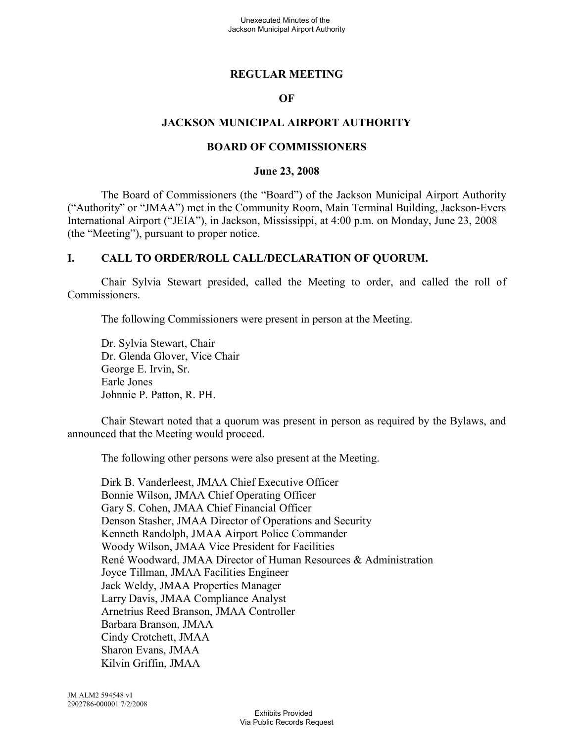#### **REGULAR MEETING**

#### **OF**

#### **JACKSON MUNICIPAL AIRPORT AUTHORITY**

#### **BOARD OF COMMISSIONERS**

#### **June 23, 2008**

The Board of Commissioners (the "Board") of the Jackson Municipal Airport Authority ("Authority" or "JMAA") met in the Community Room, Main Terminal Building, Jackson-Evers International Airport ("JEIA"), in Jackson, Mississippi, at 4:00 p.m. on Monday, June 23, 2008 (the "Meeting"), pursuant to proper notice.

#### **I. CALL TO ORDER/ROLL CALL/DECLARATION OF QUORUM.**

Chair Sylvia Stewart presided, called the Meeting to order, and called the roll of Commissioners.

The following Commissioners were present in person at the Meeting.

Dr. Sylvia Stewart, Chair Dr. Glenda Glover, Vice Chair George E. Irvin, Sr. Earle Jones Johnnie P. Patton, R. PH.

Chair Stewart noted that a quorum was present in person as required by the Bylaws, and announced that the Meeting would proceed.

The following other persons were also present at the Meeting.

Dirk B. Vanderleest, JMAA Chief Executive Officer Bonnie Wilson, JMAA Chief Operating Officer Gary S. Cohen, JMAA Chief Financial Officer Denson Stasher, JMAA Director of Operations and Security Kenneth Randolph, JMAA Airport Police Commander Woody Wilson, JMAA Vice President for Facilities René Woodward, JMAA Director of Human Resources & Administration Joyce Tillman, JMAA Facilities Engineer Jack Weldy, JMAA Properties Manager Larry Davis, JMAA Compliance Analyst Arnetrius Reed Branson, JMAA Controller Barbara Branson, JMAA Cindy Crotchett, JMAA Sharon Evans, JMAA Kilvin Griffin, JMAA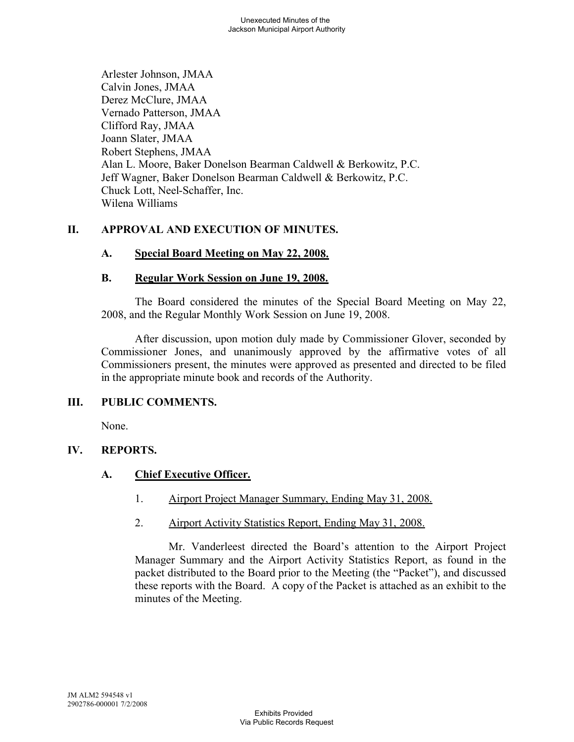Arlester Johnson, JMAA Calvin Jones, JMAA Derez McClure, JMAA Vernado Patterson, JMAA Clifford Ray, JMAA Joann Slater, JMAA Robert Stephens, JMAA Alan L. Moore, Baker Donelson Bearman Caldwell & Berkowitz, P.C. Jeff Wagner, Baker Donelson Bearman Caldwell & Berkowitz, P.C. Chuck Lott, Neel-Schaffer, Inc. Wilena Williams

# **II. APPROVAL AND EXECUTION OF MINUTES.**

# **A. Special Board Meeting on May 22, 2008.**

# **B. Regular Work Session on June 19, 2008.**

The Board considered the minutes of the Special Board Meeting on May 22, 2008, and the Regular Monthly Work Session on June 19, 2008.

After discussion, upon motion duly made by Commissioner Glover, seconded by Commissioner Jones, and unanimously approved by the affirmative votes of all Commissioners present, the minutes were approved as presented and directed to be filed in the appropriate minute book and records of the Authority.

#### **III. PUBLIC COMMENTS.**

None.

#### **IV. REPORTS.**

# **A. Chief Executive Officer.**

- 1. Airport Project Manager Summary, Ending May 31, 2008.
- 2. Airport Activity Statistics Report, Ending May 31, 2008.

Mr. Vanderleest directed the Board's attention to the Airport Project Manager Summary and the Airport Activity Statistics Report, as found in the packet distributed to the Board prior to the Meeting (the "Packet"), and discussed these reports with the Board. A copy of the Packet is attached as an exhibit to the minutes of the Meeting.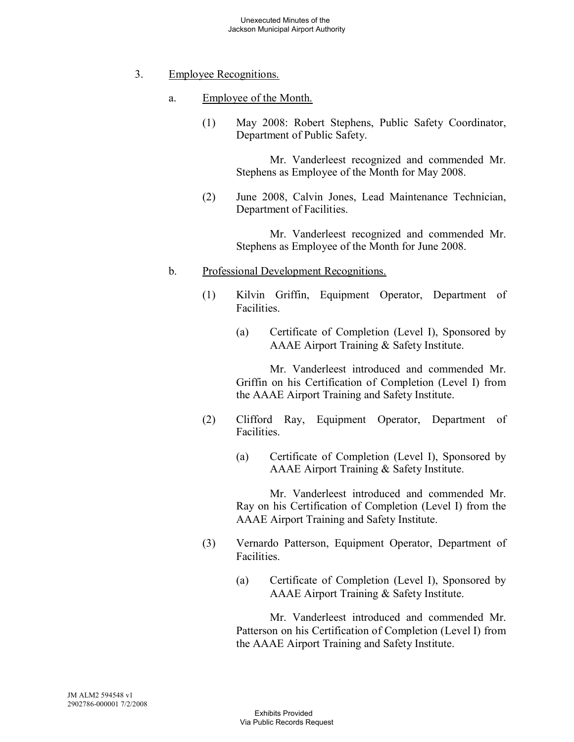#### 3. Employee Recognitions.

- a. Employee of the Month.
	- (1) May 2008: Robert Stephens, Public Safety Coordinator, Department of Public Safety.

Mr. Vanderleest recognized and commended Mr. Stephens as Employee of the Month for May 2008.

(2) June 2008, Calvin Jones, Lead Maintenance Technician, Department of Facilities.

> Mr. Vanderleest recognized and commended Mr. Stephens as Employee of the Month for June 2008.

#### b. Professional Development Recognitions.

- (1) Kilvin Griffin, Equipment Operator, Department of Facilities.
	- (a) Certificate of Completion (Level I), Sponsored by AAAE Airport Training & Safety Institute.

Mr. Vanderleest introduced and commended Mr. Griffin on his Certification of Completion (Level I) from the AAAE Airport Training and Safety Institute.

- (2) Clifford Ray, Equipment Operator, Department of **Facilities** 
	- (a) Certificate of Completion (Level I), Sponsored by AAAE Airport Training & Safety Institute.

Mr. Vanderleest introduced and commended Mr. Ray on his Certification of Completion (Level I) from the AAAE Airport Training and Safety Institute.

- (3) Vernardo Patterson, Equipment Operator, Department of Facilities.
	- (a) Certificate of Completion (Level I), Sponsored by AAAE Airport Training & Safety Institute.

Mr. Vanderleest introduced and commended Mr. Patterson on his Certification of Completion (Level I) from the AAAE Airport Training and Safety Institute.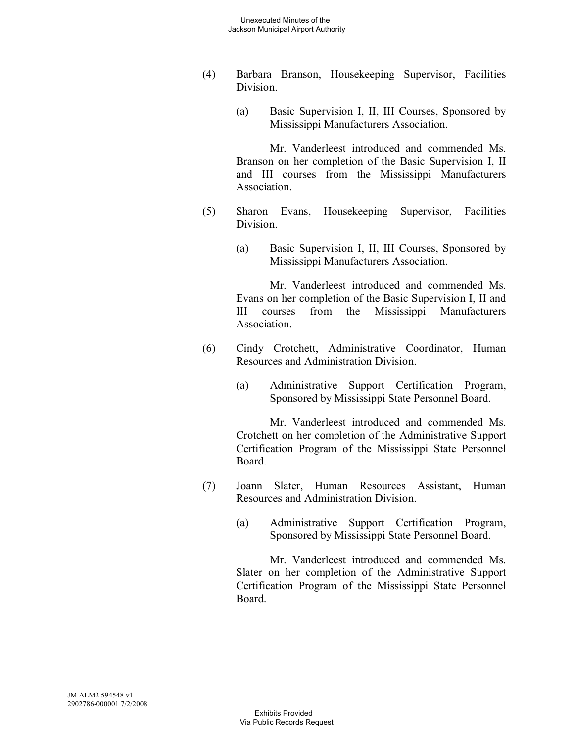- (4) Barbara Branson, Housekeeping Supervisor, Facilities Division.
	- (a) Basic Supervision I, II, III Courses, Sponsored by Mississippi Manufacturers Association.

Mr. Vanderleest introduced and commended Ms. Branson on her completion of the Basic Supervision I, II and III courses from the Mississippi Manufacturers Association.

- (5) Sharon Evans, Housekeeping Supervisor, Facilities Division.
	- (a) Basic Supervision I, II, III Courses, Sponsored by Mississippi Manufacturers Association.

Mr. Vanderleest introduced and commended Ms. Evans on her completion of the Basic Supervision I, II and III courses from the Mississippi Manufacturers Association.

- (6) Cindy Crotchett, Administrative Coordinator, Human Resources and Administration Division.
	- (a) Administrative Support Certification Program, Sponsored by Mississippi State Personnel Board.

Mr. Vanderleest introduced and commended Ms. Crotchett on her completion of the Administrative Support Certification Program of the Mississippi State Personnel Board.

- (7) Joann Slater, Human Resources Assistant, Human Resources and Administration Division.
	- (a) Administrative Support Certification Program, Sponsored by Mississippi State Personnel Board.

Mr. Vanderleest introduced and commended Ms. Slater on her completion of the Administrative Support Certification Program of the Mississippi State Personnel Board.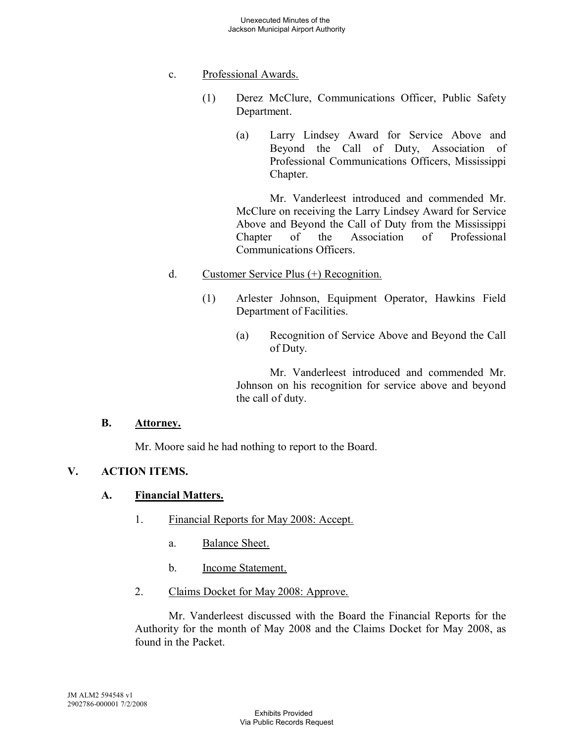### c. Professional Awards.

- (1) Derez McClure, Communications Officer, Public Safety Department.
	- (a) Larry Lindsey Award for Service Above and Beyond the Call of Duty, Association of Professional Communications Officers, Mississippi Chapter.

Mr. Vanderleest introduced and commended Mr. McClure on receiving the Larry Lindsey Award for Service Above and Beyond the Call of Duty from the Mississippi Chapter of the Association of Professional Communications Officers.

# d. Customer Service Plus (+) Recognition.

- (1) Arlester Johnson, Equipment Operator, Hawkins Field Department of Facilities.
	- (a) Recognition of Service Above and Beyond the Call of Duty.

Mr. Vanderleest introduced and commended Mr. Johnson on his recognition for service above and beyond the call of duty.

#### **B. Attorney.**

Mr. Moore said he had nothing to report to the Board.

# **V. ACTION ITEMS.**

#### **A. Financial Matters.**

- 1. Financial Reports for May 2008: Accept.
	- a. Balance Sheet.
	- b. Income Statement.
- 2. Claims Docket for May 2008: Approve.

Mr. Vanderleest discussed with the Board the Financial Reports for the Authority for the month of May 2008 and the Claims Docket for May 2008, as found in the Packet.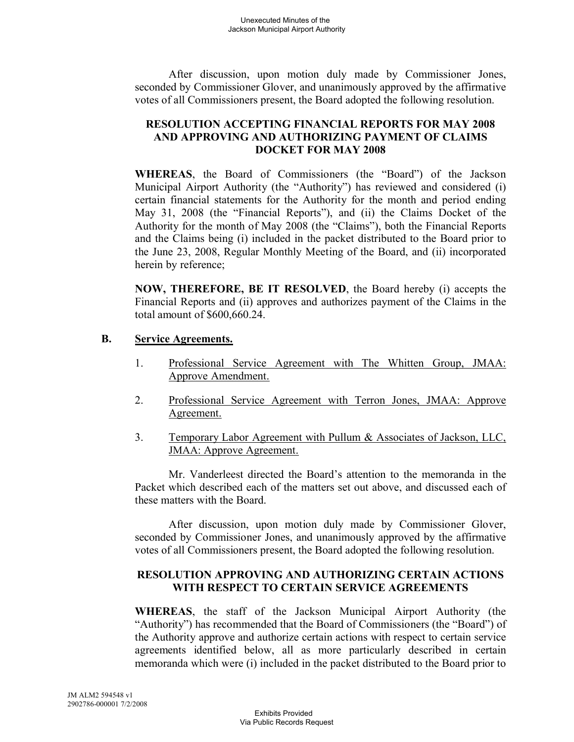After discussion, upon motion duly made by Commissioner Jones, seconded by Commissioner Glover, and unanimously approved by the affirmative votes of all Commissioners present, the Board adopted the following resolution.

#### **RESOLUTION ACCEPTING FINANCIAL REPORTS FOR MAY 2008 AND APPROVING AND AUTHORIZING PAYMENT OF CLAIMS DOCKET FOR MAY 2008**

**WHEREAS**, the Board of Commissioners (the "Board") of the Jackson Municipal Airport Authority (the "Authority") has reviewed and considered (i) certain financial statements for the Authority for the month and period ending May 31, 2008 (the "Financial Reports"), and (ii) the Claims Docket of the Authority for the month of May 2008 (the "Claims"), both the Financial Reports and the Claims being (i) included in the packet distributed to the Board prior to the June 23, 2008, Regular Monthly Meeting of the Board, and (ii) incorporated herein by reference;

**NOW, THEREFORE, BE IT RESOLVED**, the Board hereby (i) accepts the Financial Reports and (ii) approves and authorizes payment of the Claims in the total amount of \$600,660.24.

# **B. Service Agreements.**

- 1. Professional Service Agreement with The Whitten Group, JMAA: Approve Amendment.
- 2. Professional Service Agreement with Terron Jones, JMAA: Approve Agreement.
- 3. Temporary Labor Agreement with Pullum & Associates of Jackson, LLC, JMAA: Approve Agreement.

Mr. Vanderleest directed the Board's attention to the memoranda in the Packet which described each of the matters set out above, and discussed each of these matters with the Board.

After discussion, upon motion duly made by Commissioner Glover, seconded by Commissioner Jones, and unanimously approved by the affirmative votes of all Commissioners present, the Board adopted the following resolution.

#### **RESOLUTION APPROVING AND AUTHORIZING CERTAIN ACTIONS WITH RESPECT TO CERTAIN SERVICE AGREEMENTS**

**WHEREAS**, the staff of the Jackson Municipal Airport Authority (the "Authority") has recommended that the Board of Commissioners (the "Board") of the Authority approve and authorize certain actions with respect to certain service agreements identified below, all as more particularly described in certain memoranda which were (i) included in the packet distributed to the Board prior to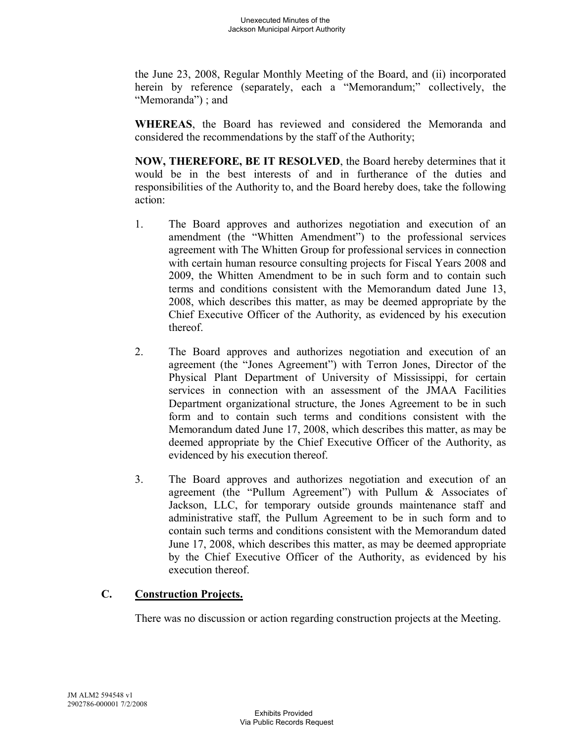the June 23, 2008, Regular Monthly Meeting of the Board, and (ii) incorporated herein by reference (separately, each a "Memorandum;" collectively, the "Memoranda"); and

**WHEREAS**, the Board has reviewed and considered the Memoranda and considered the recommendations by the staff of the Authority;

**NOW, THEREFORE, BE IT RESOLVED**, the Board hereby determines that it would be in the best interests of and in furtherance of the duties and responsibilities of the Authority to, and the Board hereby does, take the following action:

- 1. The Board approves and authorizes negotiation and execution of an amendment (the "Whitten Amendment") to the professional services agreement with The Whitten Group for professional services in connection with certain human resource consulting projects for Fiscal Years 2008 and 2009, the Whitten Amendment to be in such form and to contain such terms and conditions consistent with the Memorandum dated June 13, 2008, which describes this matter, as may be deemed appropriate by the Chief Executive Officer of the Authority, as evidenced by his execution thereof.
- 2. The Board approves and authorizes negotiation and execution of an agreement (the "Jones Agreement") with Terron Jones, Director of the Physical Plant Department of University of Mississippi, for certain services in connection with an assessment of the JMAA Facilities Department organizational structure, the Jones Agreement to be in such form and to contain such terms and conditions consistent with the Memorandum dated June 17, 2008, which describes this matter, as may be deemed appropriate by the Chief Executive Officer of the Authority, as evidenced by his execution thereof.
- 3. The Board approves and authorizes negotiation and execution of an agreement (the "Pullum Agreement") with Pullum & Associates of Jackson, LLC, for temporary outside grounds maintenance staff and administrative staff, the Pullum Agreement to be in such form and to contain such terms and conditions consistent with the Memorandum dated June 17, 2008, which describes this matter, as may be deemed appropriate by the Chief Executive Officer of the Authority, as evidenced by his execution thereof.

# **C. Construction Projects.**

There was no discussion or action regarding construction projects at the Meeting.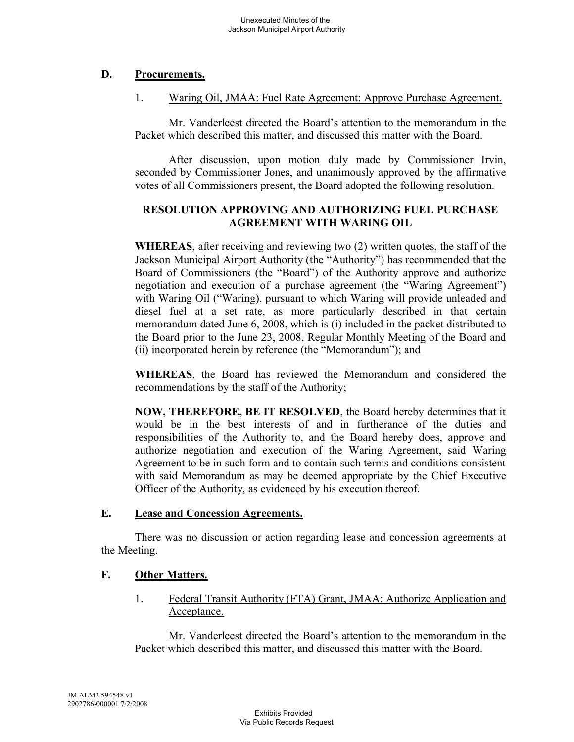# **D. Procurements.**

### 1. Waring Oil, JMAA: Fuel Rate Agreement: Approve Purchase Agreement.

Mr. Vanderleest directed the Board's attention to the memorandum in the Packet which described this matter, and discussed this matter with the Board.

After discussion, upon motion duly made by Commissioner Irvin, seconded by Commissioner Jones, and unanimously approved by the affirmative votes of all Commissioners present, the Board adopted the following resolution.

### **RESOLUTION APPROVING AND AUTHORIZING FUEL PURCHASE AGREEMENT WITH WARING OIL**

**WHEREAS**, after receiving and reviewing two (2) written quotes, the staff of the Jackson Municipal Airport Authority (the "Authority") has recommended that the Board of Commissioners (the "Board") of the Authority approve and authorize negotiation and execution of a purchase agreement (the "Waring Agreement") with Waring Oil ("Waring), pursuant to which Waring will provide unleaded and diesel fuel at a set rate, as more particularly described in that certain memorandum dated June 6, 2008, which is (i) included in the packet distributed to the Board prior to the June 23, 2008, Regular Monthly Meeting of the Board and (ii) incorporated herein by reference (the "Memorandum"); and

**WHEREAS**, the Board has reviewed the Memorandum and considered the recommendations by the staff of the Authority;

**NOW, THEREFORE, BE IT RESOLVED**, the Board hereby determines that it would be in the best interests of and in furtherance of the duties and responsibilities of the Authority to, and the Board hereby does, approve and authorize negotiation and execution of the Waring Agreement, said Waring Agreement to be in such form and to contain such terms and conditions consistent with said Memorandum as may be deemed appropriate by the Chief Executive Officer of the Authority, as evidenced by his execution thereof.

#### **E. Lease and Concession Agreements.**

There was no discussion or action regarding lease and concession agreements at the Meeting.

# **F. Other Matters.**

1. Federal Transit Authority (FTA) Grant, JMAA: Authorize Application and Acceptance.

Mr. Vanderleest directed the Board's attention to the memorandum in the Packet which described this matter, and discussed this matter with the Board.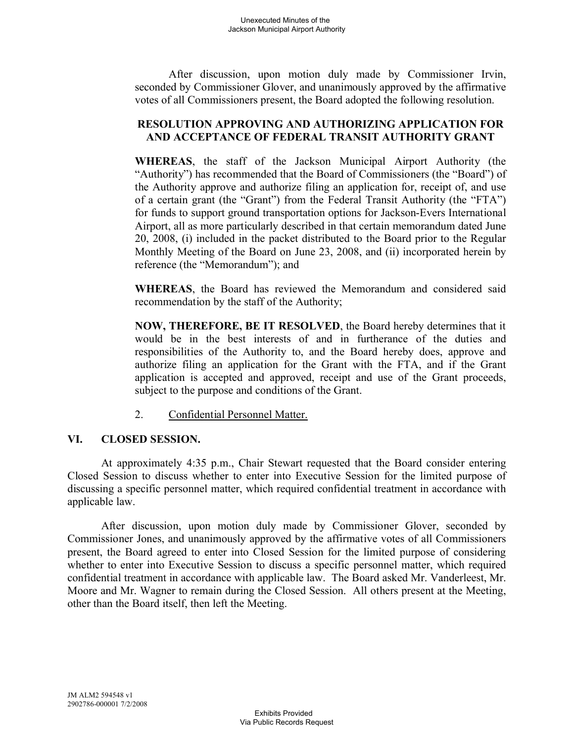After discussion, upon motion duly made by Commissioner Irvin, seconded by Commissioner Glover, and unanimously approved by the affirmative votes of all Commissioners present, the Board adopted the following resolution.

### **RESOLUTION APPROVING AND AUTHORIZING APPLICATION FOR AND ACCEPTANCE OF FEDERAL TRANSIT AUTHORITY GRANT**

**WHEREAS**, the staff of the Jackson Municipal Airport Authority (the "Authority") has recommended that the Board of Commissioners (the "Board") of the Authority approve and authorize filing an application for, receipt of, and use of a certain grant (the "Grant") from the Federal Transit Authority (the "FTA") for funds to support ground transportation options for Jackson-Evers International Airport, all as more particularly described in that certain memorandum dated June 20, 2008, (i) included in the packet distributed to the Board prior to the Regular Monthly Meeting of the Board on June 23, 2008, and (ii) incorporated herein by reference (the "Memorandum"); and

**WHEREAS**, the Board has reviewed the Memorandum and considered said recommendation by the staff of the Authority;

**NOW, THEREFORE, BE IT RESOLVED**, the Board hereby determines that it would be in the best interests of and in furtherance of the duties and responsibilities of the Authority to, and the Board hereby does, approve and authorize filing an application for the Grant with the FTA, and if the Grant application is accepted and approved, receipt and use of the Grant proceeds, subject to the purpose and conditions of the Grant.

2. Confidential Personnel Matter.

# **VI. CLOSED SESSION.**

At approximately 4:35 p.m., Chair Stewart requested that the Board consider entering Closed Session to discuss whether to enter into Executive Session for the limited purpose of discussing a specific personnel matter, which required confidential treatment in accordance with applicable law.

After discussion, upon motion duly made by Commissioner Glover, seconded by Commissioner Jones, and unanimously approved by the affirmative votes of all Commissioners present, the Board agreed to enter into Closed Session for the limited purpose of considering whether to enter into Executive Session to discuss a specific personnel matter, which required confidential treatment in accordance with applicable law. The Board asked Mr. Vanderleest, Mr. Moore and Mr. Wagner to remain during the Closed Session. All others present at the Meeting, other than the Board itself, then left the Meeting.